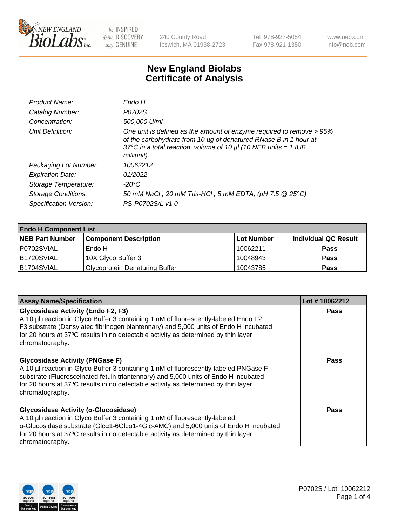

240 County Road Ipswich, MA 01938-2723 Tel 978-927-5054 Fax 978-921-1350 www.neb.com info@neb.com

## **New England Biolabs Certificate of Analysis**

| Endo H                                                                                                                                                                                                                         |
|--------------------------------------------------------------------------------------------------------------------------------------------------------------------------------------------------------------------------------|
| P0702S                                                                                                                                                                                                                         |
| 500,000 U/ml                                                                                                                                                                                                                   |
| One unit is defined as the amount of enzyme required to remove > 95%<br>of the carbohydrate from 10 µg of denatured RNase B in 1 hour at<br>37°C in a total reaction volume of 10 $\mu$ I (10 NEB units = 1 IUB<br>milliunit). |
| 10062212                                                                                                                                                                                                                       |
| 01/2022                                                                                                                                                                                                                        |
| -20°C                                                                                                                                                                                                                          |
| 50 mM NaCl, 20 mM Tris-HCl, 5 mM EDTA, (pH 7.5 @ 25°C)                                                                                                                                                                         |
| PS-P0702S/L v1.0                                                                                                                                                                                                               |
|                                                                                                                                                                                                                                |

| <b>Endo H Component List</b> |                                       |             |                      |  |
|------------------------------|---------------------------------------|-------------|----------------------|--|
| <b>NEB Part Number</b>       | <b>Component Description</b>          | ∣Lot Number | Individual QC Result |  |
| P0702SVIAL                   | Endo H                                | 10062211    | <b>Pass</b>          |  |
| B1720SVIAL                   | 10X Glyco Buffer 3                    | 10048943    | <b>Pass</b>          |  |
| B1704SVIAL                   | <b>Glycoprotein Denaturing Buffer</b> | 10043785    | <b>Pass</b>          |  |

| <b>Assay Name/Specification</b>                                                                                                                                                                                                                                                                                                               | Lot #10062212 |
|-----------------------------------------------------------------------------------------------------------------------------------------------------------------------------------------------------------------------------------------------------------------------------------------------------------------------------------------------|---------------|
| <b>Glycosidase Activity (Endo F2, F3)</b><br>A 10 µl reaction in Glyco Buffer 3 containing 1 nM of fluorescently-labeled Endo F2,<br>F3 substrate (Dansylated fibrinogen biantennary) and 5,000 units of Endo H incubated<br>for 20 hours at 37°C results in no detectable activity as determined by thin layer<br>chromatography.            | <b>Pass</b>   |
| <b>Glycosidase Activity (PNGase F)</b><br>A 10 µl reaction in Glyco Buffer 3 containing 1 nM of fluorescently-labeled PNGase F<br>substrate (Fluoresceinated fetuin triantennary) and 5,000 units of Endo H incubated<br>for 20 hours at 37°C results in no detectable activity as determined by thin layer<br>chromatography.                | Pass          |
| Glycosidase Activity (α-Glucosidase)<br>A 10 µl reaction in Glyco Buffer 3 containing 1 nM of fluorescently-labeled<br>$\alpha$ -Glucosidase substrate (Glc $\alpha$ 1-6Glc $\alpha$ 1-4Glc-AMC) and 5,000 units of Endo H incubated<br>for 20 hours at 37°C results in no detectable activity as determined by thin layer<br>chromatography. | Pass          |

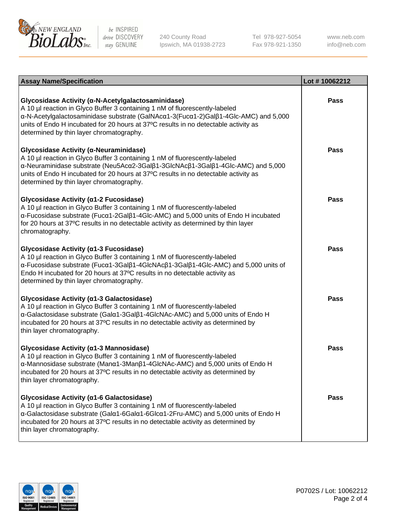

240 County Road Ipswich, MA 01938-2723 Tel 978-927-5054 Fax 978-921-1350 www.neb.com info@neb.com

| <b>Assay Name/Specification</b>                                                                                                                                                                                                                                                                                                                             | Lot #10062212 |
|-------------------------------------------------------------------------------------------------------------------------------------------------------------------------------------------------------------------------------------------------------------------------------------------------------------------------------------------------------------|---------------|
| Glycosidase Activity (α-N-Acetylgalactosaminidase)<br>A 10 µl reaction in Glyco Buffer 3 containing 1 nM of fluorescently-labeled<br>α-N-Acetylgalactosaminidase substrate (GalNAcα1-3(Fucα1-2)Galβ1-4Glc-AMC) and 5,000<br>units of Endo H incubated for 20 hours at 37°C results in no detectable activity as<br>determined by thin layer chromatography. | Pass          |
| Glycosidase Activity (α-Neuraminidase)<br>A 10 µl reaction in Glyco Buffer 3 containing 1 nM of fluorescently-labeled<br>α-Neuraminidase substrate (Neu5Acα2-3Galβ1-3GlcNAcβ1-3Galβ1-4Glc-AMC) and 5,000<br>units of Endo H incubated for 20 hours at 37°C results in no detectable activity as<br>determined by thin layer chromatography.                 | Pass          |
| Glycosidase Activity (α1-2 Fucosidase)<br>A 10 µl reaction in Glyco Buffer 3 containing 1 nM of fluorescently-labeled<br>α-Fucosidase substrate (Fucα1-2Galβ1-4Glc-AMC) and 5,000 units of Endo H incubated<br>for 20 hours at 37°C results in no detectable activity as determined by thin layer<br>chromatography.                                        | <b>Pass</b>   |
| Glycosidase Activity (α1-3 Fucosidase)<br>A 10 µl reaction in Glyco Buffer 3 containing 1 nM of fluorescently-labeled<br>α-Fucosidase substrate (Fucα1-3Galβ1-4GlcNAcβ1-3Galβ1-4Glc-AMC) and 5,000 units of<br>Endo H incubated for 20 hours at 37°C results in no detectable activity as<br>determined by thin layer chromatography.                       | <b>Pass</b>   |
| Glycosidase Activity (a1-3 Galactosidase)<br>A 10 µl reaction in Glyco Buffer 3 containing 1 nM of fluorescently-labeled<br>α-Galactosidase substrate (Galα1-3Galβ1-4GlcNAc-AMC) and 5,000 units of Endo H<br>incubated for 20 hours at 37°C results in no detectable activity as determined by<br>thin layer chromatography.                               | <b>Pass</b>   |
| Glycosidase Activity (α1-3 Mannosidase)<br>A 10 µl reaction in Glyco Buffer 3 containing 1 nM of fluorescently-labeled<br>α-Mannosidase substrate (Manα1-3Manβ1-4GlcNAc-AMC) and 5,000 units of Endo H<br>incubated for 20 hours at 37°C results in no detectable activity as determined by<br>thin layer chromatography.                                   | Pass          |
| Glycosidase Activity (a1-6 Galactosidase)<br>A 10 µl reaction in Glyco Buffer 3 containing 1 nM of fluorescently-labeled<br>α-Galactosidase substrate (Galα1-6Galα1-6Glcα1-2Fru-AMC) and 5,000 units of Endo H<br>incubated for 20 hours at 37°C results in no detectable activity as determined by<br>thin layer chromatography.                           | <b>Pass</b>   |

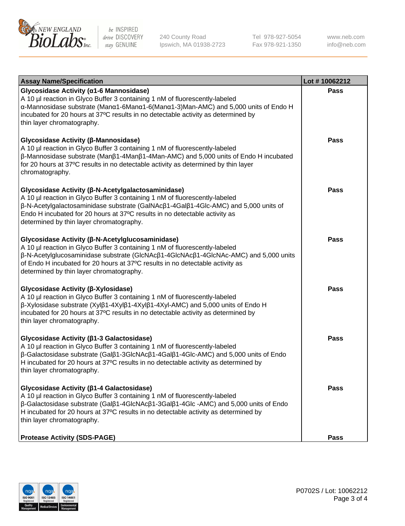

240 County Road Ipswich, MA 01938-2723 Tel 978-927-5054 Fax 978-921-1350 www.neb.com info@neb.com

| <b>Assay Name/Specification</b>                                                                                                                                                                                                                                                                                                                                      | Lot #10062212 |
|----------------------------------------------------------------------------------------------------------------------------------------------------------------------------------------------------------------------------------------------------------------------------------------------------------------------------------------------------------------------|---------------|
| Glycosidase Activity (α1-6 Mannosidase)<br>A 10 µl reaction in Glyco Buffer 3 containing 1 nM of fluorescently-labeled<br>α-Mannosidase substrate (Μanα1-6Μanα1-6(Μanα1-3)Man-AMC) and 5,000 units of Endo H<br>incubated for 20 hours at 37°C results in no detectable activity as determined by<br>thin layer chromatography.                                      | <b>Pass</b>   |
| Glycosidase Activity (β-Mannosidase)<br>A 10 µl reaction in Glyco Buffer 3 containing 1 nM of fluorescently-labeled<br>$\beta$ -Mannosidase substrate (Man $\beta$ 1-4Man $\beta$ 1-4Man-AMC) and 5,000 units of Endo H incubated<br>for 20 hours at 37°C results in no detectable activity as determined by thin layer<br>chromatography.                           | <b>Pass</b>   |
| Glycosidase Activity (β-N-Acetylgalactosaminidase)<br>A 10 µl reaction in Glyco Buffer 3 containing 1 nM of fluorescently-labeled<br>β-N-Acetylgalactosaminidase substrate (GalNAcβ1-4Galβ1-4Glc-AMC) and 5,000 units of<br>Endo H incubated for 20 hours at 37°C results in no detectable activity as<br>determined by thin layer chromatography.                   | <b>Pass</b>   |
| Glycosidase Activity (β-N-Acetylglucosaminidase)<br>A 10 µl reaction in Glyco Buffer 3 containing 1 nM of fluorescently-labeled<br>β-N-Acetylglucosaminidase substrate (GlcNAcβ1-4GlcNAcβ1-4GlcNAc-AMC) and 5,000 units<br>of Endo H incubated for 20 hours at 37°C results in no detectable activity as<br>determined by thin layer chromatography.                 | <b>Pass</b>   |
| Glycosidase Activity (β-Xylosidase)<br>A 10 µl reaction in Glyco Buffer 3 containing 1 nM of fluorescently-labeled<br>β-Xylosidase substrate (Xylβ1-4Xylβ1-4Xylβ1-4Xyl-AMC) and 5,000 units of Endo H<br>incubated for 20 hours at 37°C results in no detectable activity as determined by<br>thin layer chromatography.                                             | <b>Pass</b>   |
| Glycosidase Activity (β1-3 Galactosidase)<br>A 10 µl reaction in Glyco Buffer 3 containing 1 nM of fluorescently-labeled<br>$\beta$ -Galactosidase substrate (Gal $\beta$ 1-3GlcNAc $\beta$ 1-4Gal $\beta$ 1-4Glc-AMC) and 5,000 units of Endo<br>H incubated for 20 hours at 37°C results in no detectable activity as determined by<br>thin layer chromatography.  | <b>Pass</b>   |
| Glycosidase Activity (β1-4 Galactosidase)<br>A 10 µl reaction in Glyco Buffer 3 containing 1 nM of fluorescently-labeled<br>$\beta$ -Galactosidase substrate (Gal $\beta$ 1-4GlcNAc $\beta$ 1-3Gal $\beta$ 1-4Glc -AMC) and 5,000 units of Endo<br>H incubated for 20 hours at 37°C results in no detectable activity as determined by<br>thin layer chromatography. | Pass          |
| <b>Protease Activity (SDS-PAGE)</b>                                                                                                                                                                                                                                                                                                                                  | <b>Pass</b>   |